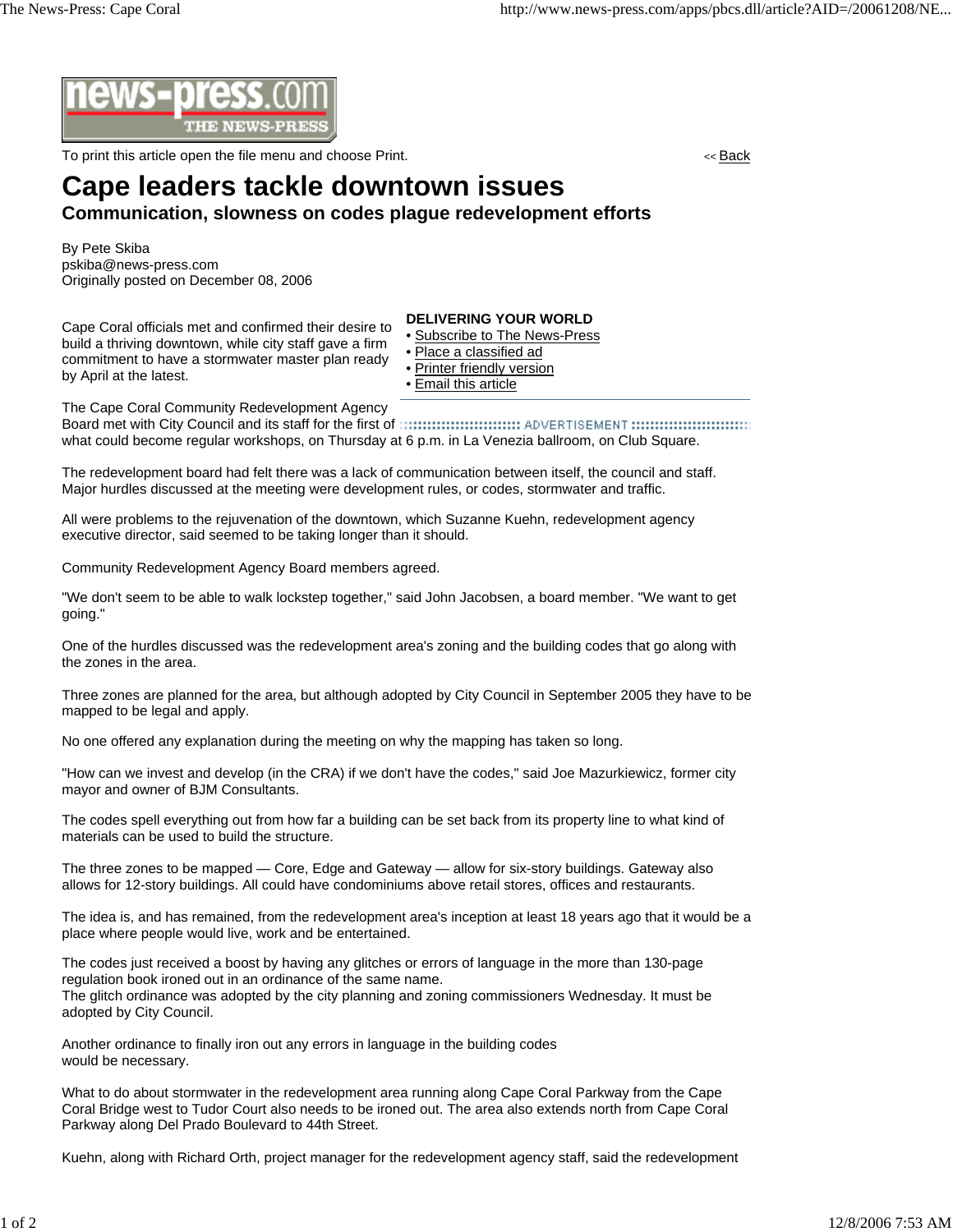

To print this article open the file menu and choose Print. << Back

## **Cape leaders tackle downtown issues**

## **Communication, slowness on codes plague redevelopment efforts**

By Pete Skiba pskiba@news-press.com Originally posted on December 08, 2006

Cape Coral officials met and confirmed their desire to build a thriving downtown, while city staff gave a firm commitment to have a stormwater master plan ready by April at the latest.

## **DELIVERING YOUR WORLD**

- Subscribe to The News-Press
- Place a classified ad
- Printer friendly version
- Email this article

The Cape Coral Community Redevelopment Agency

Board met with City Council and its staff for the first of what could become regular workshops, on Thursday at 6 p.m. in La Venezia ballroom, on Club Square.

The redevelopment board had felt there was a lack of communication between itself, the council and staff. Major hurdles discussed at the meeting were development rules, or codes, stormwater and traffic.

All were problems to the rejuvenation of the downtown, which Suzanne Kuehn, redevelopment agency executive director, said seemed to be taking longer than it should.

Community Redevelopment Agency Board members agreed.

"We don't seem to be able to walk lockstep together," said John Jacobsen, a board member. "We want to get going."

One of the hurdles discussed was the redevelopment area's zoning and the building codes that go along with the zones in the area.

Three zones are planned for the area, but although adopted by City Council in September 2005 they have to be mapped to be legal and apply.

No one offered any explanation during the meeting on why the mapping has taken so long.

"How can we invest and develop (in the CRA) if we don't have the codes," said Joe Mazurkiewicz, former city mayor and owner of BJM Consultants.

The codes spell everything out from how far a building can be set back from its property line to what kind of materials can be used to build the structure.

The three zones to be mapped — Core, Edge and Gateway — allow for six-story buildings. Gateway also allows for 12-story buildings. All could have condominiums above retail stores, offices and restaurants.

The idea is, and has remained, from the redevelopment area's inception at least 18 years ago that it would be a place where people would live, work and be entertained.

The codes just received a boost by having any glitches or errors of language in the more than 130-page regulation book ironed out in an ordinance of the same name. The glitch ordinance was adopted by the city planning and zoning commissioners Wednesday. It must be adopted by City Council.

Another ordinance to finally iron out any errors in language in the building codes would be necessary.

What to do about stormwater in the redevelopment area running along Cape Coral Parkway from the Cape Coral Bridge west to Tudor Court also needs to be ironed out. The area also extends north from Cape Coral Parkway along Del Prado Boulevard to 44th Street.

Kuehn, along with Richard Orth, project manager for the redevelopment agency staff, said the redevelopment